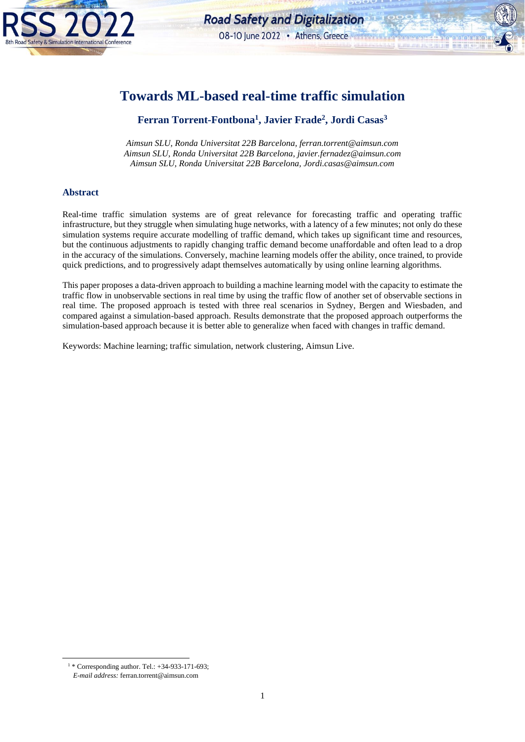

**TIM** 

**BIB BLADTE** 

# **Towards ML-based real-time traffic simulation**

# **Ferran Torrent-Fontbona<sup>1</sup> , Javier Frade<sup>2</sup> , Jordi Casas<sup>3</sup>**

*Aimsun SLU, Ronda Universitat 22B Barcelona, ferran.torrent@aimsun.com Aimsun SLU, Ronda Universitat 22B Barcelona, javier.fernadez@aimsun.com Aimsun SLU, Ronda Universitat 22B Barcelona, Jordi.casas@aimsun.com*

#### **Abstract**

Real-time traffic simulation systems are of great relevance for forecasting traffic and operating traffic infrastructure, but they struggle when simulating huge networks, with a latency of a few minutes; not only do these simulation systems require accurate modelling of traffic demand, which takes up significant time and resources, but the continuous adjustments to rapidly changing traffic demand become unaffordable and often lead to a drop in the accuracy of the simulations. Conversely, machine learning models offer the ability, once trained, to provide quick predictions, and to progressively adapt themselves automatically by using online learning algorithms.

This paper proposes a data-driven approach to building a machine learning model with the capacity to estimate the traffic flow in unobservable sections in real time by using the traffic flow of another set of observable sections in real time. The proposed approach is tested with three real scenarios in Sydney, Bergen and Wiesbaden, and compared against a simulation-based approach. Results demonstrate that the proposed approach outperforms the simulation-based approach because it is better able to generalize when faced with changes in traffic demand.

Keywords: Machine learning; traffic simulation, network clustering, Aimsun Live.

<sup>1</sup> \* Corresponding author. Tel.: +34-933-171-693; *E-mail address:* ferran.torrent@aimsun.com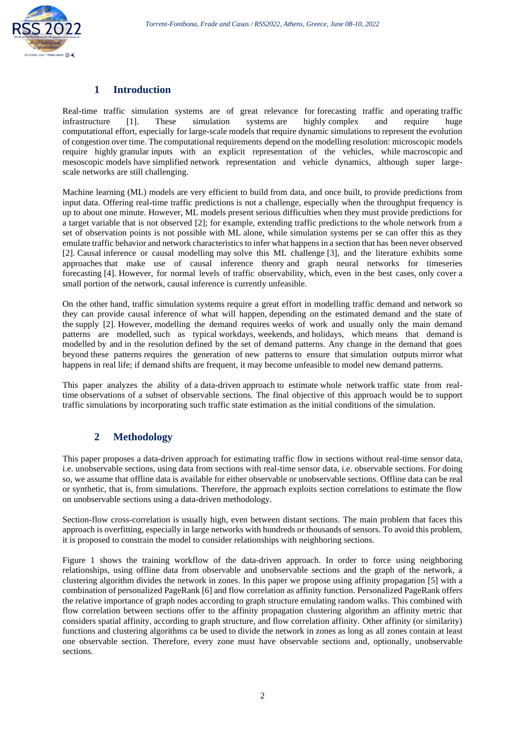

## **1 Introduction**

Real-time traffic simulation systems are of great relevance for forecasting traffic and operating traffic infrastructure [1]. These simulation systems are highly complex and require huge computational effort, especially for large-scale models that require dynamic simulations to represent the evolution of congestion over time. The computational requirements depend on the modelling resolution: microscopic models require highly granular inputs with an explicit representation of the vehicles, while macroscopic and mesoscopic models have simplified network representation and vehicle dynamics, although super largescale networks are still challenging.

Machine learning (ML) models are very efficient to build from data, and once built, to provide predictions from input data. Offering real-time traffic predictions is not a challenge, especially when the throughput frequency is up to about one minute. However, ML models present serious difficulties when they must provide predictions for a target variable that is not observed [2]; for example, extending traffic predictions to the whole network from a set of observation points is not possible with ML alone, while simulation systems per se can offer this as they emulate traffic behavior and network characteristics to infer what happens in a section that has been never observed [2]. Causal inference or causal modelling may solve this ML challenge [3], and the literature exhibits some approaches that make use of causal inference theory and graph neural networks for timeseries forecasting [4]. However, for normal levels of traffic observability, which, even in the best cases, only cover a small portion of the network, causal inference is currently unfeasible.

On the other hand, traffic simulation systems require a great effort in modelling traffic demand and network so they can provide causal inference of what will happen, depending on the estimated demand and the state of the supply [2]. However, modelling the demand requires weeks of work and usually only the main demand patterns are modelled, such as typical workdays, weekends, and holidays, which means that demand is modelled by and in the resolution defined by the set of demand patterns. Any change in the demand that goes beyond these patterns requires the generation of new patterns to ensure that simulation outputs mirror what happens in real life; if demand shifts are frequent, it may become unfeasible to model new demand patterns.

This paper analyzes the ability of a data-driven approach to estimate whole network traffic state from realtime observations of a subset of observable sections. The final objective of this approach would be to support traffic simulations by incorporating such traffic state estimation as the initial conditions of the simulation.

## **2 Methodology**

This paper proposes a data-driven approach for estimating traffic flow in sections without real-time sensor data, i.e. unobservable sections, using data from sections with real-time sensor data, i.e. observable sections. For doing so, we assume that offline data is available for either observable or unobservable sections. Offline data can be real or synthetic, that is, from simulations. Therefore, the approach exploits section correlations to estimate the flow on unobservable sections using a data-driven methodology.

Section-flow cross-correlation is usually high, even between distant sections. The main problem that faces this approach is overfitting, especially in large networks with hundreds or thousands of sensors. To avoid this problem, it is proposed to constrain the model to consider relationships with neighboring sections.

[Figure 1](#page-2-0) shows the training workflow of the data-driven approach. In order to force using neighboring relationships, using offline data from observable and unobservable sections and the graph of the network, a clustering algorithm divides the network in zones. In this paper we propose using affinity propagation [5] with a combination of personalized PageRank [6] and flow correlation as affinity function. Personalized PageRank offers the relative importance of graph nodes according to graph structure emulating random walks. This combined with flow correlation between sections offer to the affinity propagation clustering algorithm an affinity metric that considers spatial affinity, according to graph structure, and flow correlation affinity. Other affinity (or similarity) functions and clustering algorithms ca be used to divide the network in zones as long as all zones contain at least one observable section. Therefore, every zone must have observable sections and, optionally, unobservable sections.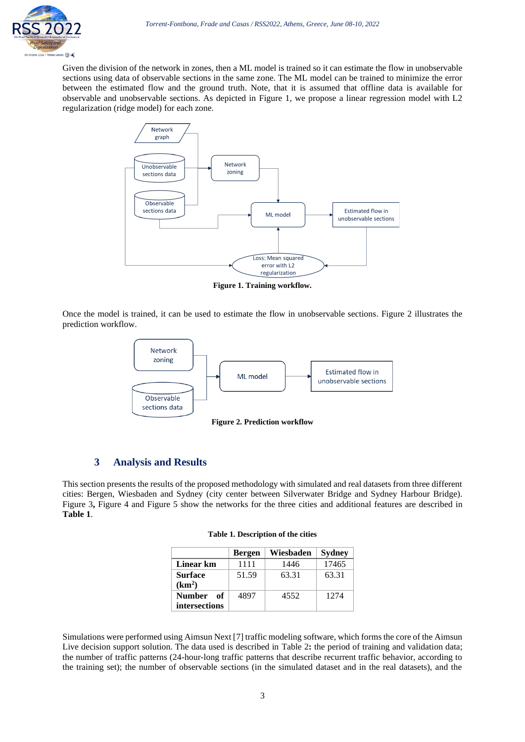Given the division of the network in zones, then a ML model is trained so it can estimate the flow in unobservable sections using data of observable sections in the same zone. The ML model can be trained to minimize the error between the estimated flow and the ground truth. Note, that it is assumed that offline data is available for observable and unobservable sections. As depicted in [Figure 1,](#page-2-0) we propose a linear regression model with L2 regularization (ridge model) for each zone.



**Figure 1. Training workflow.**

<span id="page-2-0"></span>Once the model is trained, it can be used to estimate the flow in unobservable sections. [Figure 2](#page-2-1) illustrates the prediction workflow.



**Figure 2. Prediction workflow**

#### <span id="page-2-1"></span>**3 Analysis and Results**

<span id="page-2-2"></span>This section presents the results of the proposed methodology with simulated and real datasets from three different cities: Bergen, Wiesbaden and Sydney (city center between Silverwater Bridge and Sydney Harbour Bridge). [Figure 3](#page-4-0), [Figure 4](#page-4-1) and [Figure 5](#page-5-0) show the networks for the three cities and additional features are described in **[Table 1](#page-2-2)**.

| Table 1. Description of the cities |  |  |
|------------------------------------|--|--|
|------------------------------------|--|--|

|                     | <b>Bergen</b> | Wiesbaden | <b>Sydney</b> |  |
|---------------------|---------------|-----------|---------------|--|
| Linear km           | 1111          | 1446      | 17465         |  |
| <b>Surface</b>      | 51.59         | 63.31     | 63.31         |  |
| (km <sup>2</sup> )  |               |           |               |  |
| <b>Number</b><br>оf | 4897          | 4552      | 1274          |  |
| intersections       |               |           |               |  |

Simulations were performed using Aimsun Next [7] traffic modeling software, which forms the core of the Aimsun Live decision support solution. The data used is described in [Table 2](#page-3-0): the period of training and validation data; the number of traffic patterns (24-hour-long traffic patterns that describe recurrent traffic behavior, according to the training set); the number of observable sections (in the simulated dataset and in the real datasets), and the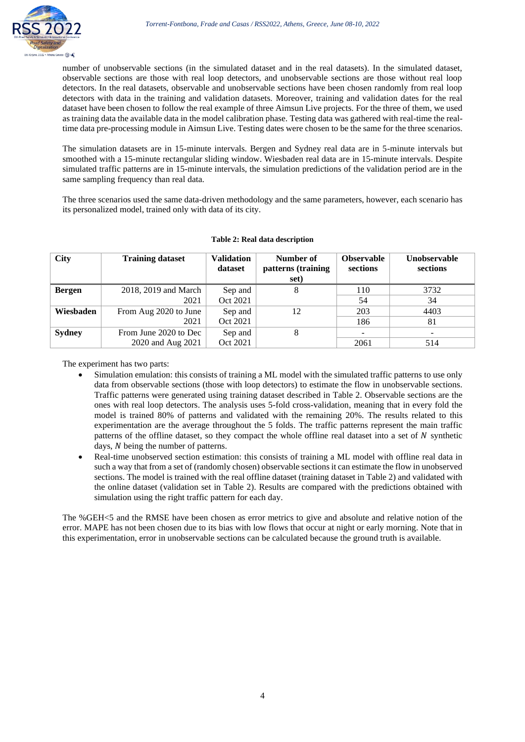

number of unobservable sections (in the simulated dataset and in the real datasets). In the simulated dataset, observable sections are those with real loop detectors, and unobservable sections are those without real loop detectors. In the real datasets, observable and unobservable sections have been chosen randomly from real loop detectors with data in the training and validation datasets. Moreover, training and validation dates for the real dataset have been chosen to follow the real example of three Aimsun Live projects. For the three of them, we used as training data the available data in the model calibration phase. Testing data was gathered with real-time the realtime data pre-processing module in Aimsun Live. Testing dates were chosen to be the same for the three scenarios.

The simulation datasets are in 15-minute intervals. Bergen and Sydney real data are in 5-minute intervals but smoothed with a 15-minute rectangular sliding window. Wiesbaden real data are in 15-minute intervals. Despite simulated traffic patterns are in 15-minute intervals, the simulation predictions of the validation period are in the same sampling frequency than real data.

The three scenarios used the same data-driven methodology and the same parameters, however, each scenario has its personalized model, trained only with data of its city.

<span id="page-3-0"></span>

| City          | <b>Training dataset</b> | <b>Validation</b><br>dataset | Number of<br>patterns (training<br>set) | <b>Observable</b><br>sections | Unobservable<br>sections |
|---------------|-------------------------|------------------------------|-----------------------------------------|-------------------------------|--------------------------|
| <b>Bergen</b> | 2018, 2019 and March    | Sep and                      | 8                                       | 110                           | 3732                     |
|               | 2021                    | Oct 2021                     |                                         | 54                            | 34                       |
| Wiesbaden     | From Aug 2020 to June   | Sep and                      | 12                                      | 203                           | 4403                     |
|               | 2021                    | Oct 2021                     |                                         | 186                           | 81                       |
| <b>Sydney</b> | From June 2020 to Dec   | Sep and                      | 8                                       |                               |                          |
|               | 2020 and Aug 2021       | Oct 2021                     |                                         | 2061                          | 514                      |

#### **Table 2: Real data description**

The experiment has two parts:

- Simulation emulation: this consists of training a ML model with the simulated traffic patterns to use only data from observable sections (those with loop detectors) to estimate the flow in unobservable sections. Traffic patterns were generated using training dataset described in [Table 2.](#page-3-0) Observable sections are the ones with real loop detectors. The analysis uses 5-fold cross-validation, meaning that in every fold the model is trained 80% of patterns and validated with the remaining 20%. The results related to this experimentation are the average throughout the 5 folds. The traffic patterns represent the main traffic patterns of the offline dataset, so they compact the whole offline real dataset into a set of  $N$  synthetic days, N being the number of patterns.
- Real-time unobserved section estimation: this consists of training a ML model with offline real data in such a way that from a set of (randomly chosen) observable sections it can estimate the flow in unobserved sections. The model is trained with the real offline dataset (training dataset i[n Table 2\)](#page-3-0) and validated with the online dataset (validation set in [Table 2\)](#page-3-0). Results are compared with the predictions obtained with simulation using the right traffic pattern for each day.

The %GEH<5 and the RMSE have been chosen as error metrics to give and absolute and relative notion of the error. MAPE has not been chosen due to its bias with low flows that occur at night or early morning. Note that in this experimentation, error in unobservable sections can be calculated because the ground truth is available.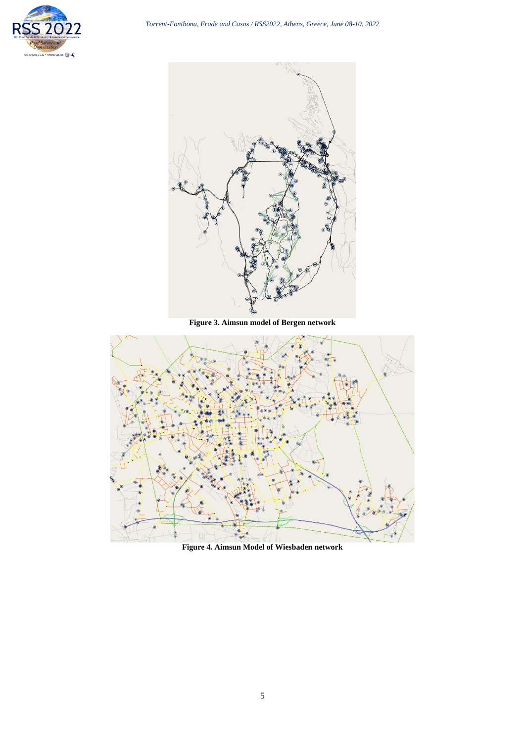



**Figure 3. Aimsun model of Bergen network**

<span id="page-4-0"></span>

<span id="page-4-1"></span>**Figure 4. Aimsun Model of Wiesbaden network**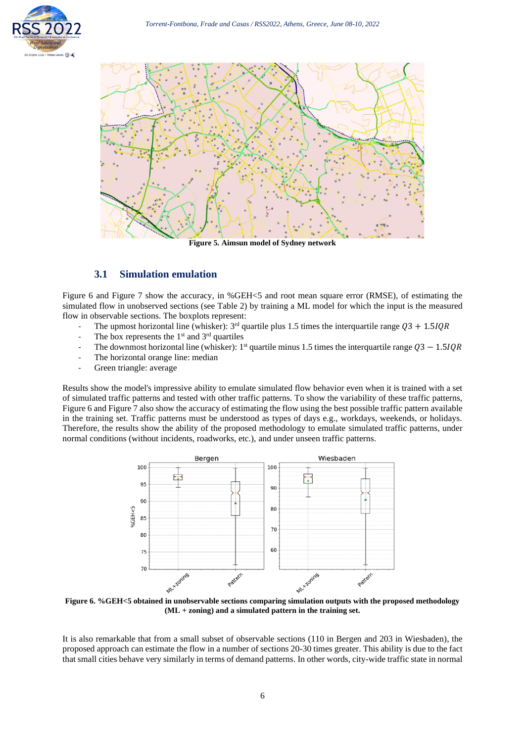



**Figure 5. Aimsun model of Sydney network**

## <span id="page-5-0"></span>**3.1 Simulation emulation**

[Figure 6](#page-5-1) and [Figure 7](#page-6-0) show the accuracy, in %GEH<5 and root mean square error (RMSE), of estimating the simulated flow in unobserved sections (see [Table 2\)](#page-3-0) by training a ML model for which the input is the measured flow in observable sections. The boxplots represent:

- The upmost horizontal line (whisker):  $3<sup>rd</sup>$  quartile plus 1.5 times the interquartile range  $Q3 + 1.5IQR$
- The box represents the  $1<sup>st</sup>$  and  $3<sup>rd</sup>$  quartiles
- The downmost horizontal line (whisker): 1<sup>st</sup> quartile minus 1.5 times the interquartile range  $Q3 1.5 IQR$
- The horizontal orange line: median
- Green triangle: average

Results show the model's impressive ability to emulate simulated flow behavior even when it is trained with a set of simulated traffic patterns and tested with other traffic patterns. To show the variability of these traffic patterns, [Figure 6](#page-5-1) and [Figure 7](#page-6-0) also show the accuracy of estimating the flow using the best possible traffic pattern available in the training set. Traffic patterns must be understood as types of days e.g., workdays, weekends, or holidays. Therefore, the results show the ability of the proposed methodology to emulate simulated traffic patterns, under normal conditions (without incidents, roadworks, etc.), and under unseen traffic patterns.



<span id="page-5-1"></span>**Figure 6. %GEH<5 obtained in unobservable sections comparing simulation outputs with the proposed methodology (ML + zoning) and a simulated pattern in the training set.**

It is also remarkable that from a small subset of observable sections (110 in Bergen and 203 in Wiesbaden), the proposed approach can estimate the flow in a number of sections 20-30 times greater. This ability is due to the fact that small cities behave very similarly in terms of demand patterns. In other words, city-wide traffic state in normal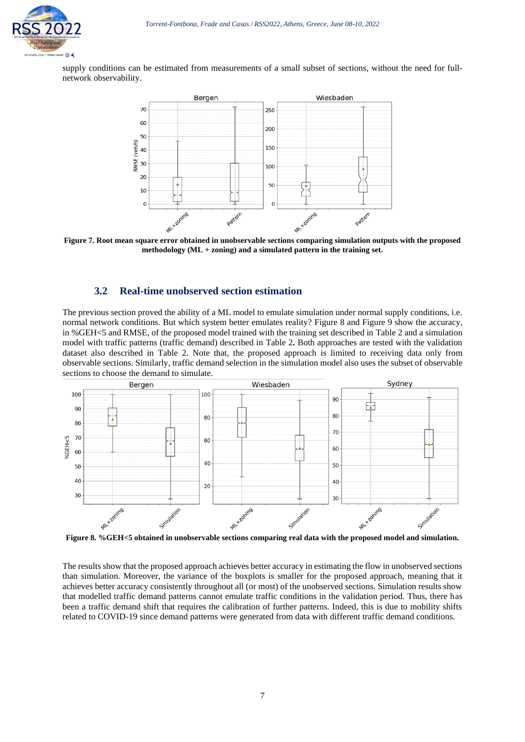

supply conditions can be estimated from measurements of a small subset of sections, without the need for fullnetwork observability.



<span id="page-6-0"></span>**Figure 7. Root mean square error obtained in unobservable sections comparing simulation outputs with the proposed methodology (ML + zoning) and a simulated pattern in the training set.**

#### **3.2 Real-time unobserved section estimation**

The previous section proved the ability of a ML model to emulate simulation under normal supply conditions, i.e. normal network conditions. But which system better emulates reality? [Figure 8](#page-6-1) and [Figure 9](#page-7-0) show the accuracy, in %GEH<5 and RMSE, of the proposed model trained with the training set described in [Table 2](#page-3-0) and a simulation model with traffic patterns (traffic demand) described in [Table 2](#page-3-0)**.** Both approaches are tested with the validation dataset also described in [Table 2.](#page-3-0) Note that, the proposed approach is limited to receiving data only from observable sections. Similarly, traffic demand selection in the simulation model also uses the subset of observable sections to choose the demand to simulate.



<span id="page-6-1"></span>**Figure 8. %GEH<5 obtained in unobservable sections comparing real data with the proposed model and simulation.**

The results show that the proposed approach achieves better accuracy in estimating the flow in unobserved sections than simulation. Moreover, the variance of the boxplots is smaller for the proposed approach, meaning that it achieves better accuracy consistently throughout all (or most) of the unobserved sections. Simulation results show that modelled traffic demand patterns cannot emulate traffic conditions in the validation period. Thus, there has been a traffic demand shift that requires the calibration of further patterns. Indeed, this is due to mobility shifts related to COVID-19 since demand patterns were generated from data with different traffic demand conditions.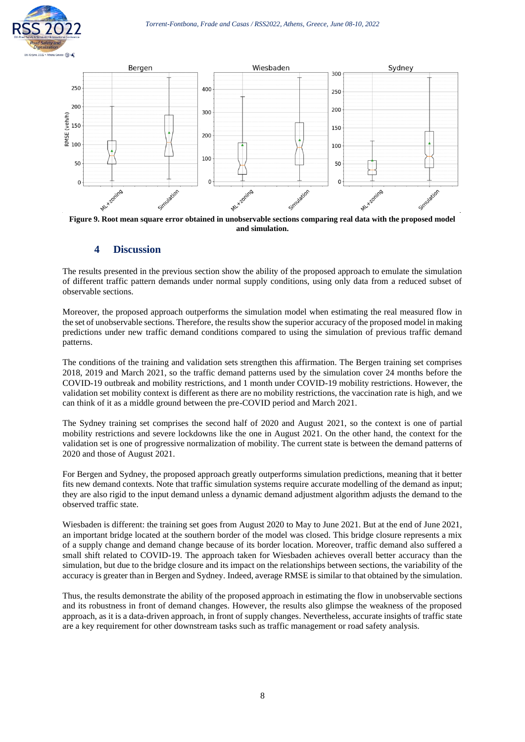



<span id="page-7-0"></span>**Figure 9. Root mean square error obtained in unobservable sections comparing real data with the proposed model and simulation.**

### **4 Discussion**

The results presented in the previous section show the ability of the proposed approach to emulate the simulation of different traffic pattern demands under normal supply conditions, using only data from a reduced subset of observable sections.

Moreover, the proposed approach outperforms the simulation model when estimating the real measured flow in the set of unobservable sections. Therefore, the results show the superior accuracy of the proposed model in making predictions under new traffic demand conditions compared to using the simulation of previous traffic demand patterns.

The conditions of the training and validation sets strengthen this affirmation. The Bergen training set comprises 2018, 2019 and March 2021, so the traffic demand patterns used by the simulation cover 24 months before the COVID-19 outbreak and mobility restrictions, and 1 month under COVID-19 mobility restrictions. However, the validation set mobility context is different as there are no mobility restrictions, the vaccination rate is high, and we can think of it as a middle ground between the pre-COVID period and March 2021.

The Sydney training set comprises the second half of 2020 and August 2021, so the context is one of partial mobility restrictions and severe lockdowns like the one in August 2021. On the other hand, the context for the validation set is one of progressive normalization of mobility. The current state is between the demand patterns of 2020 and those of August 2021.

For Bergen and Sydney, the proposed approach greatly outperforms simulation predictions, meaning that it better fits new demand contexts. Note that traffic simulation systems require accurate modelling of the demand as input; they are also rigid to the input demand unless a dynamic demand adjustment algorithm adjusts the demand to the observed traffic state.

Wiesbaden is different: the training set goes from August 2020 to May to June 2021. But at the end of June 2021, an important bridge located at the southern border of the model was closed. This bridge closure represents a mix of a supply change and demand change because of its border location. Moreover, traffic demand also suffered a small shift related to COVID-19. The approach taken for Wiesbaden achieves overall better accuracy than the simulation, but due to the bridge closure and its impact on the relationships between sections, the variability of the accuracy is greater than in Bergen and Sydney. Indeed, average RMSE is similar to that obtained by the simulation.

Thus, the results demonstrate the ability of the proposed approach in estimating the flow in unobservable sections and its robustness in front of demand changes. However, the results also glimpse the weakness of the proposed approach, as it is a data-driven approach, in front of supply changes. Nevertheless, accurate insights of traffic state are a key requirement for other downstream tasks such as traffic management or road safety analysis.